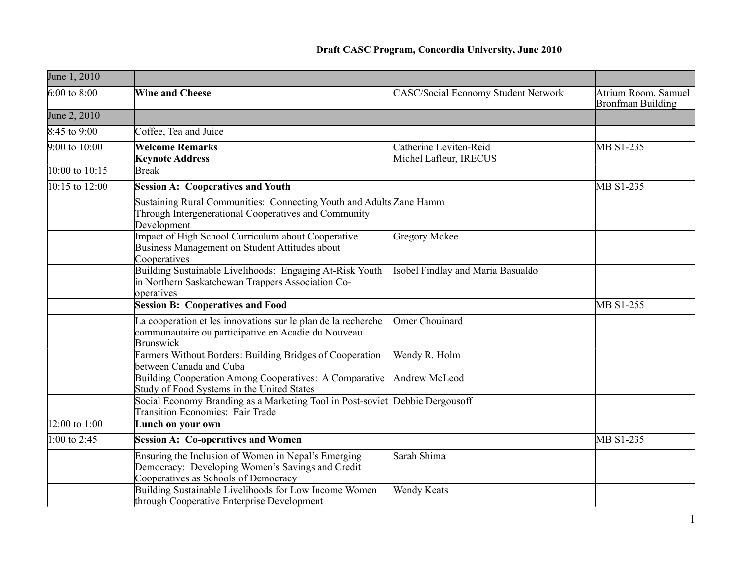## **Draft CASC Program, Concordia University, June 2010**

| June 1, 2010               |                                                                                                                                                 |                                                  |                                                 |
|----------------------------|-------------------------------------------------------------------------------------------------------------------------------------------------|--------------------------------------------------|-------------------------------------------------|
| $6:00$ to 8:00             | <b>Wine and Cheese</b>                                                                                                                          | <b>CASC/Social Economy Student Network</b>       | Atrium Room, Samuel<br><b>Bronfman Building</b> |
| June 2, 2010               |                                                                                                                                                 |                                                  |                                                 |
| $8:45$ to 9:00             | Coffee, Tea and Juice                                                                                                                           |                                                  |                                                 |
| $9:00 \text{ to } 10:00$   | <b>Welcome Remarks</b><br><b>Keynote Address</b>                                                                                                | Catherine Leviten-Reid<br>Michel Lafleur, IRECUS | MB S1-235                                       |
| $ 10:00 \text{ to } 10:15$ | <b>Break</b>                                                                                                                                    |                                                  |                                                 |
| $ 10:15 \text{ to } 12:00$ | <b>Session A: Cooperatives and Youth</b>                                                                                                        |                                                  | MB S1-235                                       |
|                            | Sustaining Rural Communities: Connecting Youth and Adults Zane Hamm<br>Through Intergenerational Cooperatives and Community<br>Development      |                                                  |                                                 |
|                            | Impact of High School Curriculum about Cooperative<br>Business Management on Student Attitudes about<br>Cooperatives                            | Gregory Mckee                                    |                                                 |
|                            | Building Sustainable Livelihoods: Engaging At-Risk Youth<br>in Northern Saskatchewan Trappers Association Co-<br>operatives                     | Isobel Findlay and Maria Basualdo                |                                                 |
|                            | <b>Session B: Cooperatives and Food</b>                                                                                                         |                                                  | MB S1-255                                       |
|                            | La cooperation et les innovations sur le plan de la recherche<br>communautaire ou participative en Acadie du Nouveau<br><b>Brunswick</b>        | Omer Chouinard                                   |                                                 |
|                            | Farmers Without Borders: Building Bridges of Cooperation<br>between Canada and Cuba                                                             | Wendy R. Holm                                    |                                                 |
|                            | Building Cooperation Among Cooperatives: A Comparative<br>Study of Food Systems in the United States                                            | Andrew McLeod                                    |                                                 |
|                            | Social Economy Branding as a Marketing Tool in Post-soviet Debbie Dergousoff<br><b>Transition Economies: Fair Trade</b>                         |                                                  |                                                 |
| $12:00 \text{ to } 1:00$   | Lunch on your own                                                                                                                               |                                                  |                                                 |
| $1:00$ to 2:45             | <b>Session A: Co-operatives and Women</b>                                                                                                       |                                                  | MB S1-235                                       |
|                            | Ensuring the Inclusion of Women in Nepal's Emerging<br>Democracy: Developing Women's Savings and Credit<br>Cooperatives as Schools of Democracy | Sarah Shima                                      |                                                 |
|                            | Building Sustainable Livelihoods for Low Income Women<br>through Cooperative Enterprise Development                                             | Wendy Keats                                      |                                                 |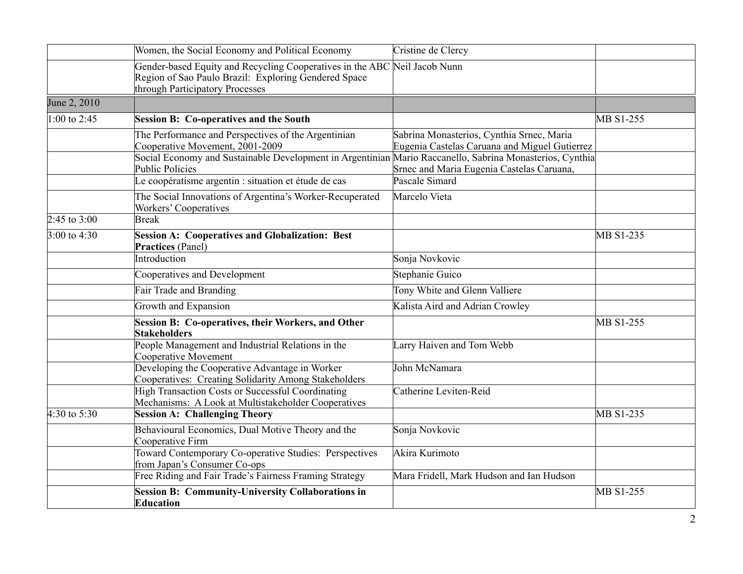|                | Women, the Social Economy and Political Economy                                                                                                                                                    | Cristine de Clercy                                                                         |           |
|----------------|----------------------------------------------------------------------------------------------------------------------------------------------------------------------------------------------------|--------------------------------------------------------------------------------------------|-----------|
|                | Gender-based Equity and Recycling Cooperatives in the ABC Neil Jacob Nunn<br>Region of Sao Paulo Brazil: Exploring Gendered Space<br>through Participatory Processes                               |                                                                                            |           |
| June 2, 2010   |                                                                                                                                                                                                    |                                                                                            |           |
| $1:00$ to 2:45 | <b>Session B: Co-operatives and the South</b>                                                                                                                                                      |                                                                                            | MB S1-255 |
|                | The Performance and Perspectives of the Argentinian<br>Cooperative Movement, 2001-2009<br>Social Economy and Sustainable Development in Argentinian Mario Raccanello, Sabrina Monasterios, Cynthia | Sabrina Monasterios, Cynthia Srnec, Maria<br>Eugenia Castelas Caruana and Miguel Gutierrez |           |
|                | <b>Public Policies</b>                                                                                                                                                                             | Srnec and Maria Eugenia Castelas Caruana,                                                  |           |
|                | Le coopératisme argentin : situation et étude de cas                                                                                                                                               | Pascale Simard                                                                             |           |
|                | The Social Innovations of Argentina's Worker-Recuperated<br><b>Workers' Cooperatives</b>                                                                                                           | Marcelo Vieta                                                                              |           |
| 2:45 to 3:00   | <b>Break</b>                                                                                                                                                                                       |                                                                                            |           |
| $3:00$ to 4:30 | <b>Session A: Cooperatives and Globalization: Best</b><br><b>Practices</b> (Panel)                                                                                                                 |                                                                                            | MB S1-235 |
|                | Introduction                                                                                                                                                                                       | Sonja Novkovic                                                                             |           |
|                | Cooperatives and Development                                                                                                                                                                       | Stephanie Guico                                                                            |           |
|                | Fair Trade and Branding                                                                                                                                                                            | Tony White and Glenn Valliere                                                              |           |
|                | Growth and Expansion                                                                                                                                                                               | Kalista Aird and Adrian Crowley                                                            |           |
|                | Session B: Co-operatives, their Workers, and Other<br><b>Stakeholders</b>                                                                                                                          |                                                                                            | MB S1-255 |
|                | People Management and Industrial Relations in the<br><b>Cooperative Movement</b>                                                                                                                   | Larry Haiven and Tom Webb                                                                  |           |
|                | Developing the Cooperative Advantage in Worker<br>Cooperatives: Creating Solidarity Among Stakeholders                                                                                             | John McNamara                                                                              |           |
|                | <b>High Transaction Costs or Successful Coordinating</b><br>Mechanisms: A Look at Multistakeholder Cooperatives                                                                                    | Catherine Leviten-Reid                                                                     |           |
| $4:30$ to 5:30 | <b>Session A: Challenging Theory</b>                                                                                                                                                               |                                                                                            | MB S1-235 |
|                | Behavioural Economics, Dual Motive Theory and the<br>Cooperative Firm                                                                                                                              | Sonja Novkovic                                                                             |           |
|                | Toward Contemporary Co-operative Studies: Perspectives<br>from Japan's Consumer Co-ops                                                                                                             | Akira Kurimoto                                                                             |           |
|                | Free Riding and Fair Trade's Fairness Framing Strategy                                                                                                                                             | Mara Fridell, Mark Hudson and Ian Hudson                                                   |           |
|                | <b>Session B: Community-University Collaborations in</b><br><b>Education</b>                                                                                                                       |                                                                                            | MB S1-255 |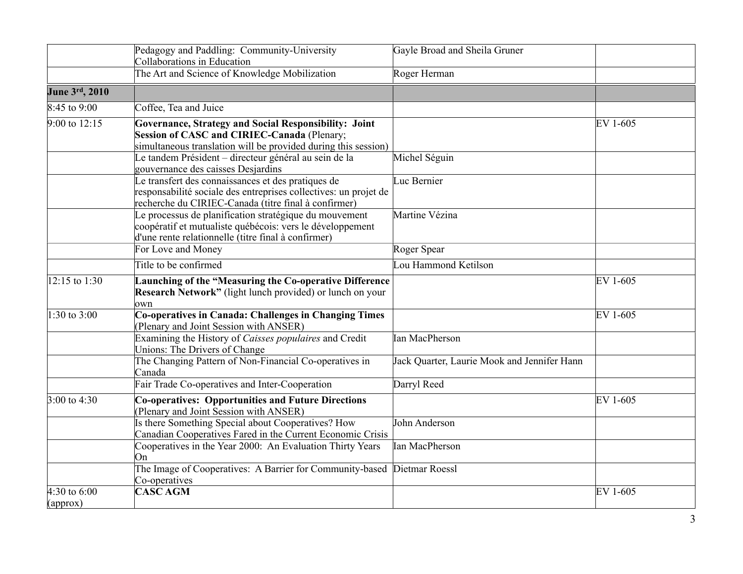|                            | Pedagogy and Paddling: Community-University<br>Collaborations in Education                                                                                                     | Gayle Broad and Sheila Gruner               |          |
|----------------------------|--------------------------------------------------------------------------------------------------------------------------------------------------------------------------------|---------------------------------------------|----------|
|                            | The Art and Science of Knowledge Mobilization                                                                                                                                  | Roger Herman                                |          |
| June 3rd, 2010             |                                                                                                                                                                                |                                             |          |
| $8:45$ to 9:00             | Coffee, Tea and Juice                                                                                                                                                          |                                             |          |
| $9:00$ to 12:15            | Governance, Strategy and Social Responsibility: Joint<br>Session of CASC and CIRIEC-Canada (Plenary;<br>simultaneous translation will be provided during this session)         |                                             | EV 1-605 |
|                            | Le tandem Président - directeur général au sein de la<br>gouvernance des caisses Desjardins                                                                                    | Michel Séguin                               |          |
|                            | Le transfert des connaissances et des pratiques de<br>responsabilité sociale des entreprises collectives: un projet de<br>recherche du CIRIEC-Canada (titre final à confirmer) | Luc Bernier                                 |          |
|                            | Le processus de planification stratégique du mouvement<br>coopératif et mutualiste québécois: vers le développement<br>d'une rente relationnelle (titre final à confirmer)     | Martine Vézina                              |          |
|                            | For Love and Money                                                                                                                                                             | Roger Spear                                 |          |
|                            | Title to be confirmed                                                                                                                                                          | Lou Hammond Ketilson                        |          |
| $12:15$ to 1:30            | Launching of the "Measuring the Co-operative Difference<br>Research Network" (light lunch provided) or lunch on your<br>own                                                    |                                             | EV 1-605 |
| $1:30$ to 3:00             | Co-operatives in Canada: Challenges in Changing Times<br>(Plenary and Joint Session with ANSER)                                                                                |                                             | EV 1-605 |
|                            | Examining the History of Caisses populaires and Credit<br>Unions: The Drivers of Change                                                                                        | Ian MacPherson                              |          |
|                            | The Changing Pattern of Non-Financial Co-operatives in<br>Canada                                                                                                               | Jack Quarter, Laurie Mook and Jennifer Hann |          |
|                            | Fair Trade Co-operatives and Inter-Cooperation                                                                                                                                 | Darryl Reed                                 |          |
| $3:00$ to 4:30             | <b>Co-operatives: Opportunities and Future Directions</b><br>Plenary and Joint Session with ANSER)                                                                             |                                             | EV 1-605 |
|                            | Is there Something Special about Cooperatives? How<br>Canadian Cooperatives Fared in the Current Economic Crisis                                                               | John Anderson                               |          |
|                            | Cooperatives in the Year 2000: An Evaluation Thirty Years<br>On                                                                                                                | Ian MacPherson                              |          |
|                            | The Image of Cooperatives: A Barrier for Community-based Dietmar Roessl<br>Co-operatives                                                                                       |                                             |          |
| 4:30 to $6:00$<br>$\alpha$ | <b>CASC AGM</b>                                                                                                                                                                |                                             | EV 1-605 |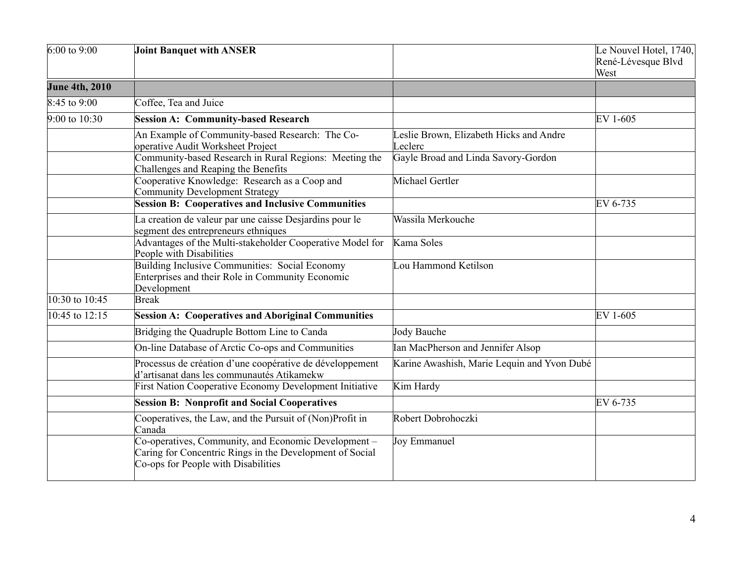| $6:00$ to 9:00        | <b>Joint Banquet with ANSER</b>                                                                                                                         |                                                    | Le Nouvel Hotel, 1740,<br>René-Lévesque Blvd<br>West |
|-----------------------|---------------------------------------------------------------------------------------------------------------------------------------------------------|----------------------------------------------------|------------------------------------------------------|
| <b>June 4th, 2010</b> |                                                                                                                                                         |                                                    |                                                      |
| $8:45$ to 9:00        | Coffee, Tea and Juice                                                                                                                                   |                                                    |                                                      |
| $9:00$ to $10:30$     | <b>Session A: Community-based Research</b>                                                                                                              |                                                    | EV 1-605                                             |
|                       | An Example of Community-based Research: The Co-<br>operative Audit Worksheet Project                                                                    | Leslie Brown, Elizabeth Hicks and Andre<br>Leclerc |                                                      |
|                       | Community-based Research in Rural Regions: Meeting the<br>Challenges and Reaping the Benefits                                                           | Gayle Broad and Linda Savory-Gordon                |                                                      |
|                       | Cooperative Knowledge: Research as a Coop and<br><b>Community Development Strategy</b>                                                                  | Michael Gertler                                    |                                                      |
|                       | <b>Session B: Cooperatives and Inclusive Communities</b>                                                                                                |                                                    | EV 6-735                                             |
|                       | La creation de valeur par une caisse Desjardins pour le<br>segment des entrepreneurs ethniques                                                          | Wassila Merkouche                                  |                                                      |
|                       | Advantages of the Multi-stakeholder Cooperative Model for<br>People with Disabilities                                                                   | Kama Soles                                         |                                                      |
|                       | <b>Building Inclusive Communities: Social Economy</b><br>Enterprises and their Role in Community Economic<br>Development                                | Lou Hammond Ketilson                               |                                                      |
| $10:30$ to $10:45$    | <b>Break</b>                                                                                                                                            |                                                    |                                                      |
| $10:45$ to 12:15      | <b>Session A: Cooperatives and Aboriginal Communities</b>                                                                                               |                                                    | EV 1-605                                             |
|                       | Bridging the Quadruple Bottom Line to Canda                                                                                                             | Jody Bauche                                        |                                                      |
|                       | On-line Database of Arctic Co-ops and Communities                                                                                                       | Ian MacPherson and Jennifer Alsop                  |                                                      |
|                       | Processus de création d'une coopérative de développement<br>d'artisanat dans les communautés Atikamekw                                                  | Karine Awashish, Marie Lequin and Yvon Dubé        |                                                      |
|                       | First Nation Cooperative Economy Development Initiative                                                                                                 | Kim Hardy                                          |                                                      |
|                       | <b>Session B: Nonprofit and Social Cooperatives</b>                                                                                                     |                                                    | EV 6-735                                             |
|                       | Cooperatives, the Law, and the Pursuit of (Non)Profit in<br>Canada                                                                                      | Robert Dobrohoczki                                 |                                                      |
|                       | Co-operatives, Community, and Economic Development -<br>Caring for Concentric Rings in the Development of Social<br>Co-ops for People with Disabilities | Joy Emmanuel                                       |                                                      |